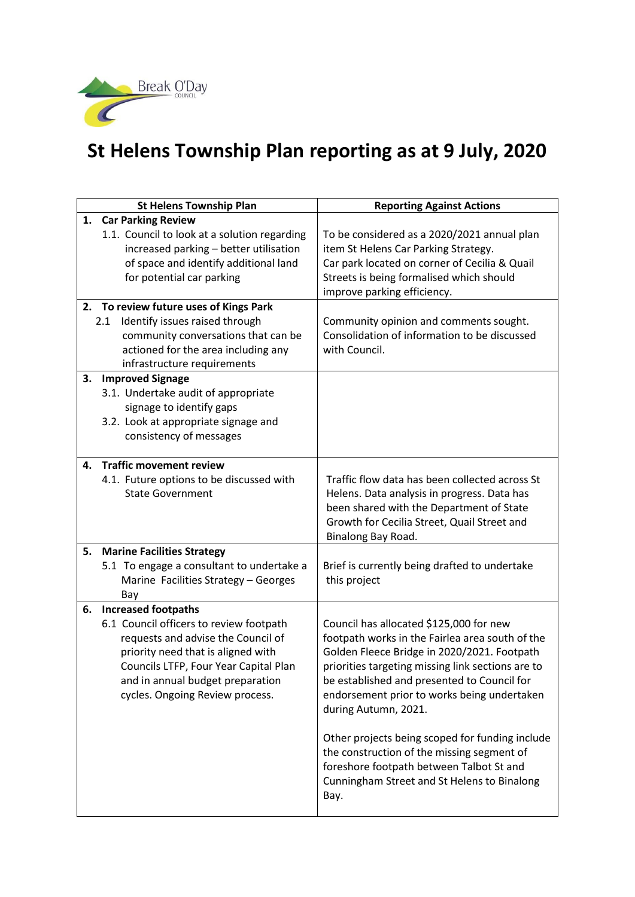

## **St Helens Township Plan reporting as at 9 July, 2020**

| <b>St Helens Township Plan</b>                                                                                                                                                                                                                                          | <b>Reporting Against Actions</b>                                                                                                                                                                                                                                                                                                                                                                                                                                                                                         |
|-------------------------------------------------------------------------------------------------------------------------------------------------------------------------------------------------------------------------------------------------------------------------|--------------------------------------------------------------------------------------------------------------------------------------------------------------------------------------------------------------------------------------------------------------------------------------------------------------------------------------------------------------------------------------------------------------------------------------------------------------------------------------------------------------------------|
| 1. Car Parking Review<br>1.1. Council to look at a solution regarding<br>increased parking - better utilisation<br>of space and identify additional land<br>for potential car parking                                                                                   | To be considered as a 2020/2021 annual plan<br>item St Helens Car Parking Strategy.<br>Car park located on corner of Cecilia & Quail<br>Streets is being formalised which should<br>improve parking efficiency.                                                                                                                                                                                                                                                                                                          |
| 2. To review future uses of Kings Park<br>Identify issues raised through<br>2.1<br>community conversations that can be<br>actioned for the area including any<br>infrastructure requirements                                                                            | Community opinion and comments sought.<br>Consolidation of information to be discussed<br>with Council.                                                                                                                                                                                                                                                                                                                                                                                                                  |
| <b>Improved Signage</b><br>3.<br>3.1. Undertake audit of appropriate<br>signage to identify gaps<br>3.2. Look at appropriate signage and<br>consistency of messages                                                                                                     |                                                                                                                                                                                                                                                                                                                                                                                                                                                                                                                          |
| <b>Traffic movement review</b><br>4.<br>4.1. Future options to be discussed with<br><b>State Government</b>                                                                                                                                                             | Traffic flow data has been collected across St<br>Helens. Data analysis in progress. Data has<br>been shared with the Department of State<br>Growth for Cecilia Street, Quail Street and<br>Binalong Bay Road.                                                                                                                                                                                                                                                                                                           |
| <b>Marine Facilities Strategy</b><br>5.<br>5.1 To engage a consultant to undertake a<br>Marine Facilities Strategy - Georges<br>Bay                                                                                                                                     | Brief is currently being drafted to undertake<br>this project                                                                                                                                                                                                                                                                                                                                                                                                                                                            |
| <b>Increased footpaths</b><br>6.<br>6.1 Council officers to review footpath<br>requests and advise the Council of<br>priority need that is aligned with<br>Councils LTFP, Four Year Capital Plan<br>and in annual budget preparation<br>cycles. Ongoing Review process. | Council has allocated \$125,000 for new<br>footpath works in the Fairlea area south of the<br>Golden Fleece Bridge in 2020/2021. Footpath<br>priorities targeting missing link sections are to<br>be established and presented to Council for<br>endorsement prior to works being undertaken<br>during Autumn, 2021.<br>Other projects being scoped for funding include<br>the construction of the missing segment of<br>foreshore footpath between Talbot St and<br>Cunningham Street and St Helens to Binalong<br>Bay. |